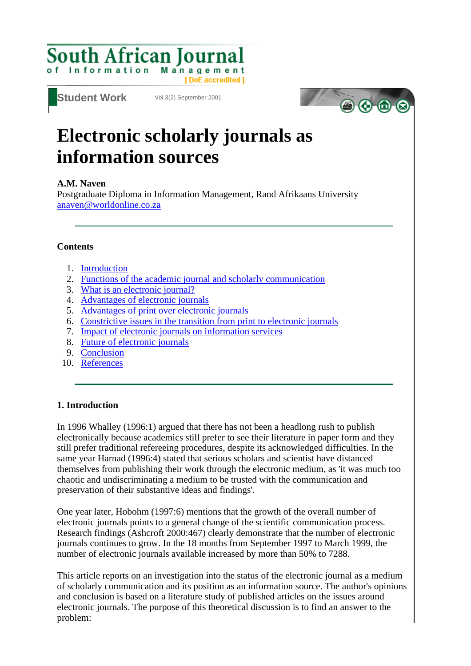# South African Journal of Information Management [DoE accredited]

Student Work Vol.3(2) September 2001



# **Electronic scholarly journals as information sources**

# **A.M. Naven**

Postgraduate Diploma in Information Management, Rand Afrikaans University anaven@worldonline.co.za

# **Contents**

- 1. Introduction
- 2. Functions of the academic journal and scholarly communication
- 3. What is an electronic journal?
- 4. Advantages of electronic journals
- 5. Advantages of print over electronic journals
- 6. Constrictive issues in the transition from print to electronic journals
- 7. Impact of electronic journals on information services
- 8. Future of electronic journals
- 9. Conclusion
- 10. References

# **1. Introduction**

In 1996 Whalley (1996:1) argued that there has not been a headlong rush to publish electronically because academics still prefer to see their literature in paper form and they still prefer traditional refereeing procedures, despite its acknowledged difficulties. In the same year Harnad (1996:4) stated that serious scholars and scientist have distanced themselves from publishing their work through the electronic medium, as 'it was much too chaotic and undiscriminating a medium to be trusted with the communication and preservation of their substantive ideas and findings'.

One year later, Hobohm (1997:6) mentions that the growth of the overall number of electronic journals points to a general change of the scientific communication process. Research findings (Ashcroft 2000:467) clearly demonstrate that the number of electronic journals continues to grow. In the 18 months from September 1997 to March 1999, the number of electronic journals available increased by more than 50% to 7288.

This article reports on an investigation into the status of the electronic journal as a medium of scholarly communication and its position as an information source. The author's opinions and conclusion is based on a literature study of published articles on the issues around electronic journals. The purpose of this theoretical discussion is to find an answer to the problem: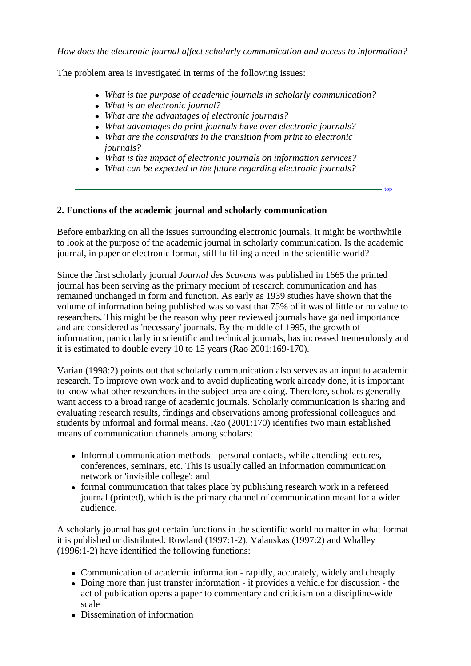*How does the electronic journal affect scholarly communication and access to information?*

The problem area is investigated in terms of the following issues:

- What is the purpose of academic journals in scholarly communication?
- *What is an electronic journal?*
- *What are the advantages of electronic journals?*
- *What advantages do print journals have over electronic journals?*
- What are the constraints in the transition from print to electronic *journals?*
- What is the impact of electronic journals on information services?
- *What can be expected in the future regarding electronic journals?*

 $=$  top

#### **2. Functions of the academic journal and scholarly communication**

Before embarking on all the issues surrounding electronic journals, it might be worthwhile to look at the purpose of the academic journal in scholarly communication. Is the academic journal, in paper or electronic format, still fulfilling a need in the scientific world?

Since the first scholarly journal *Journal des Scavans* was published in 1665 the printed journal has been serving as the primary medium of research communication and has remained unchanged in form and function. As early as 1939 studies have shown that the volume of information being published was so vast that 75% of it was of little or no value to researchers. This might be the reason why peer reviewed journals have gained importance and are considered as 'necessary' journals. By the middle of 1995, the growth of information, particularly in scientific and technical journals, has increased tremendously and it is estimated to double every 10 to 15 years (Rao 2001:169-170).

Varian (1998:2) points out that scholarly communication also serves as an input to academic research. To improve own work and to avoid duplicating work already done, it is important to know what other researchers in the subject area are doing. Therefore, scholars generally want access to a broad range of academic journals. Scholarly communication is sharing and evaluating research results, findings and observations among professional colleagues and students by informal and formal means. Rao (2001:170) identifies two main established means of communication channels among scholars:

- Informal communication methods personal contacts, while attending lectures, conferences, seminars, etc. This is usually called an information communication network or 'invisible college'; and
- formal communication that takes place by publishing research work in a refereed journal (printed), which is the primary channel of communication meant for a wider audience.

A scholarly journal has got certain functions in the scientific world no matter in what format it is published or distributed. Rowland (1997:1-2), Valauskas (1997:2) and Whalley (1996:1-2) have identified the following functions:

- Communication of academic information rapidly, accurately, widely and cheaply
- Doing more than just transfer information it provides a vehicle for discussion the act of publication opens a paper to commentary and criticism on a discipline-wide scale
- Dissemination of information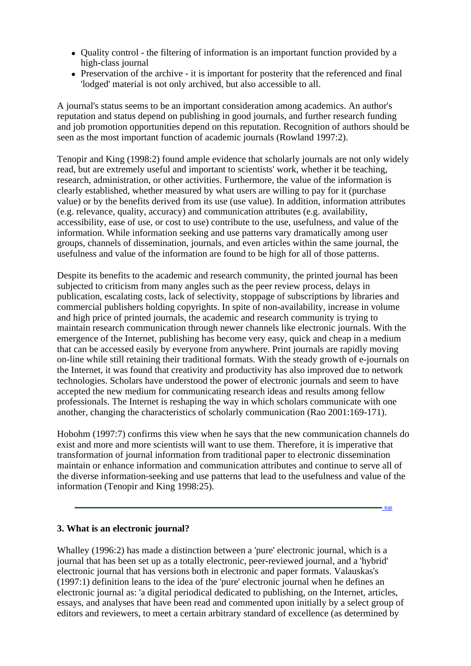- Quality control the filtering of information is an important function provided by a high-class journal
- Preservation of the archive it is important for posterity that the referenced and final 'lodged' material is not only archived, but also accessible to all.

A journal's status seems to be an important consideration among academics. An author's reputation and status depend on publishing in good journals, and further research funding and job promotion opportunities depend on this reputation. Recognition of authors should be seen as the most important function of academic journals (Rowland 1997:2).

Tenopir and King (1998:2) found ample evidence that scholarly journals are not only widely read, but are extremely useful and important to scientists' work, whether it be teaching, research, administration, or other activities. Furthermore, the value of the information is clearly established, whether measured by what users are willing to pay for it (purchase value) or by the benefits derived from its use (use value). In addition, information attributes (e.g. relevance, quality, accuracy) and communication attributes (e.g. availability, accessibility, ease of use, or cost to use) contribute to the use, usefulness, and value of the information. While information seeking and use patterns vary dramatically among user groups, channels of dissemination, journals, and even articles within the same journal, the usefulness and value of the information are found to be high for all of those patterns.

Despite its benefits to the academic and research community, the printed journal has been subjected to criticism from many angles such as the peer review process, delays in publication, escalating costs, lack of selectivity, stoppage of subscriptions by libraries and commercial publishers holding copyrights. In spite of non-availability, increase in volume and high price of printed journals, the academic and research community is trying to maintain research communication through newer channels like electronic journals. With the emergence of the Internet, publishing has become very easy, quick and cheap in a medium that can be accessed easily by everyone from anywhere. Print journals are rapidly moving on-line while still retaining their traditional formats. With the steady growth of e-journals on the Internet, it was found that creativity and productivity has also improved due to network technologies. Scholars have understood the power of electronic journals and seem to have accepted the new medium for communicating research ideas and results among fellow professionals. The Internet is reshaping the way in which scholars communicate with one another, changing the characteristics of scholarly communication (Rao 2001:169-171).

Hobohm (1997:7) confirms this view when he says that the new communication channels do exist and more and more scientists will want to use them. Therefore, it is imperative that transformation of journal information from traditional paper to electronic dissemination maintain or enhance information and communication attributes and continue to serve all of the diverse information-seeking and use patterns that lead to the usefulness and value of the information (Tenopir and King 1998:25).

 $\equiv$  top

#### **3. What is an electronic journal?**

Whalley (1996:2) has made a distinction between a 'pure' electronic journal, which is a journal that has been set up as a totally electronic, peer-reviewed journal, and a 'hybrid' electronic journal that has versions both in electronic and paper formats. Valauskas's (1997:1) definition leans to the idea of the 'pure' electronic journal when he defines an electronic journal as: 'a digital periodical dedicated to publishing, on the Internet, articles, essays, and analyses that have been read and commented upon initially by a select group of editors and reviewers, to meet a certain arbitrary standard of excellence (as determined by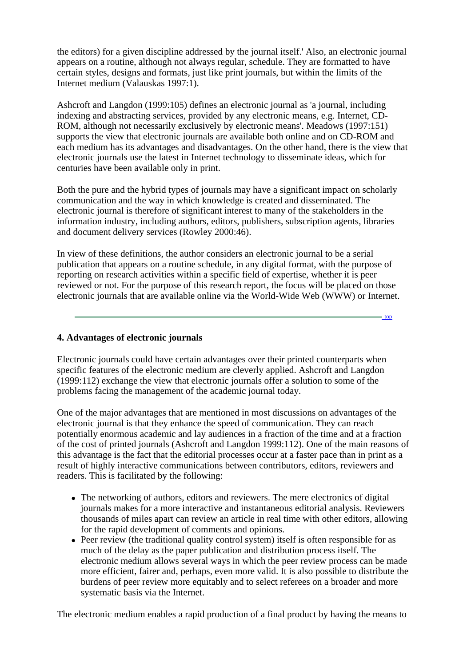the editors) for a given discipline addressed by the journal itself.' Also, an electronic journal appears on a routine, although not always regular, schedule. They are formatted to have certain styles, designs and formats, just like print journals, but within the limits of the Internet medium (Valauskas 1997:1).

Ashcroft and Langdon (1999:105) defines an electronic journal as 'a journal, including indexing and abstracting services, provided by any electronic means, e.g. Internet, CD-ROM, although not necessarily exclusively by electronic means'. Meadows (1997:151) supports the view that electronic journals are available both online and on CD-ROM and each medium has its advantages and disadvantages. On the other hand, there is the view that electronic journals use the latest in Internet technology to disseminate ideas, which for centuries have been available only in print.

Both the pure and the hybrid types of journals may have a significant impact on scholarly communication and the way in which knowledge is created and disseminated. The electronic journal is therefore of significant interest to many of the stakeholders in the information industry, including authors, editors, publishers, subscription agents, libraries and document delivery services (Rowley 2000:46).

In view of these definitions, the author considers an electronic journal to be a serial publication that appears on a routine schedule, in any digital format, with the purpose of reporting on research activities within a specific field of expertise, whether it is peer reviewed or not. For the purpose of this research report, the focus will be placed on those electronic journals that are available online via the World-Wide Web (WWW) or Internet.

 $=$  top

#### **4. Advantages of electronic journals**

Electronic journals could have certain advantages over their printed counterparts when specific features of the electronic medium are cleverly applied. Ashcroft and Langdon (1999:112) exchange the view that electronic journals offer a solution to some of the problems facing the management of the academic journal today.

One of the major advantages that are mentioned in most discussions on advantages of the electronic journal is that they enhance the speed of communication. They can reach potentially enormous academic and lay audiences in a fraction of the time and at a fraction of the cost of printed journals (Ashcroft and Langdon 1999:112). One of the main reasons of this advantage is the fact that the editorial processes occur at a faster pace than in print as a result of highly interactive communications between contributors, editors, reviewers and readers. This is facilitated by the following:

- The networking of authors, editors and reviewers. The mere electronics of digital journals makes for a more interactive and instantaneous editorial analysis. Reviewers thousands of miles apart can review an article in real time with other editors, allowing for the rapid development of comments and opinions.
- Peer review (the traditional quality control system) itself is often responsible for as much of the delay as the paper publication and distribution process itself. The electronic medium allows several ways in which the peer review process can be made more efficient, fairer and, perhaps, even more valid. It is also possible to distribute the burdens of peer review more equitably and to select referees on a broader and more systematic basis via the Internet.

The electronic medium enables a rapid production of a final product by having the means to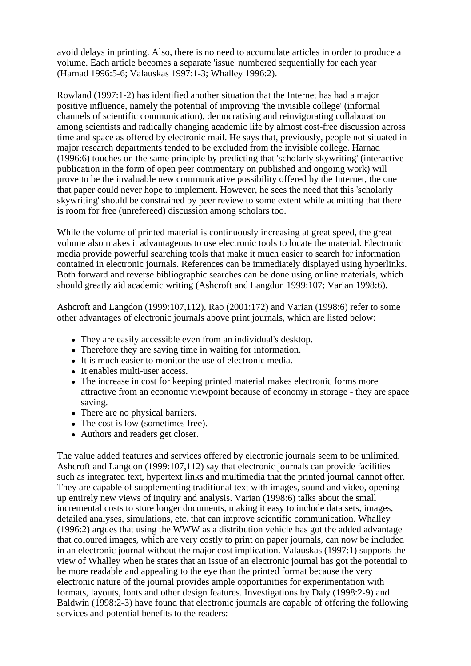avoid delays in printing. Also, there is no need to accumulate articles in order to produce a volume. Each article becomes a separate 'issue' numbered sequentially for each year (Harnad 1996:5-6; Valauskas 1997:1-3; Whalley 1996:2).

Rowland (1997:1-2) has identified another situation that the Internet has had a major positive influence, namely the potential of improving 'the invisible college' (informal channels of scientific communication), democratising and reinvigorating collaboration among scientists and radically changing academic life by almost cost-free discussion across time and space as offered by electronic mail. He says that, previously, people not situated in major research departments tended to be excluded from the invisible college. Harnad (1996:6) touches on the same principle by predicting that 'scholarly skywriting' (interactive publication in the form of open peer commentary on published and ongoing work) will prove to be the invaluable new communicative possibility offered by the Internet, the one that paper could never hope to implement. However, he sees the need that this 'scholarly skywriting' should be constrained by peer review to some extent while admitting that there is room for free (unrefereed) discussion among scholars too.

While the volume of printed material is continuously increasing at great speed, the great volume also makes it advantageous to use electronic tools to locate the material. Electronic media provide powerful searching tools that make it much easier to search for information contained in electronic journals. References can be immediately displayed using hyperlinks. Both forward and reverse bibliographic searches can be done using online materials, which should greatly aid academic writing (Ashcroft and Langdon 1999:107; Varian 1998:6).

Ashcroft and Langdon (1999:107,112), Rao (2001:172) and Varian (1998:6) refer to some other advantages of electronic journals above print journals, which are listed below:

- They are easily accessible even from an individual's desktop.
- Therefore they are saving time in waiting for information.
- It is much easier to monitor the use of electronic media.
- It enables multi-user access.
- The increase in cost for keeping printed material makes electronic forms more attractive from an economic viewpoint because of economy in storage - they are space saving.
- There are no physical barriers.
- The cost is low (sometimes free).
- Authors and readers get closer.

The value added features and services offered by electronic journals seem to be unlimited. Ashcroft and Langdon (1999:107,112) say that electronic journals can provide facilities such as integrated text, hypertext links and multimedia that the printed journal cannot offer. They are capable of supplementing traditional text with images, sound and video, opening up entirely new views of inquiry and analysis. Varian (1998:6) talks about the small incremental costs to store longer documents, making it easy to include data sets, images, detailed analyses, simulations, etc. that can improve scientific communication. Whalley (1996:2) argues that using the WWW as a distribution vehicle has got the added advantage that coloured images, which are very costly to print on paper journals, can now be included in an electronic journal without the major cost implication. Valauskas (1997:1) supports the view of Whalley when he states that an issue of an electronic journal has got the potential to be more readable and appealing to the eye than the printed format because the very electronic nature of the journal provides ample opportunities for experimentation with formats, layouts, fonts and other design features. Investigations by Daly (1998:2-9) and Baldwin (1998:2-3) have found that electronic journals are capable of offering the following services and potential benefits to the readers: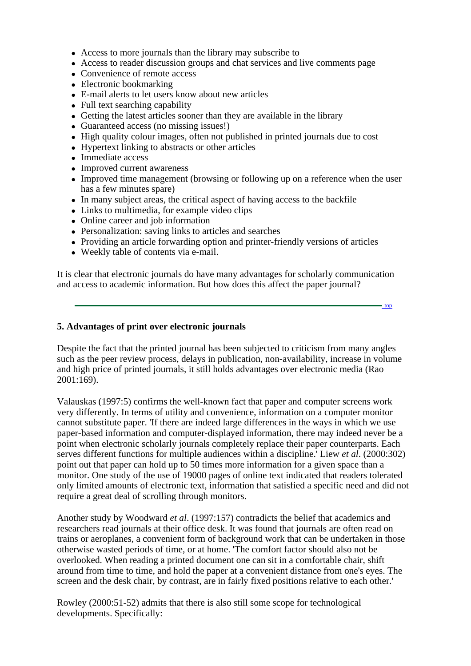- Access to more journals than the library may subscribe to
- Access to reader discussion groups and chat services and live comments page
- Convenience of remote access
- $\bullet$  Electronic bookmarking
- E-mail alerts to let users know about new articles
- $\bullet$  Full text searching capability
- Getting the latest articles sooner than they are available in the library
- Guaranteed access (no missing issues!)
- High quality colour images, often not published in printed journals due to cost
- $\bullet$  Hypertext linking to abstracts or other articles
- Immediate access
- Improved current awareness
- Improved time management (browsing or following up on a reference when the user has a few minutes spare)
- In many subject areas, the critical aspect of having access to the backfile
- Links to multimedia, for example video clips
- Online career and job information
- Personalization: saving links to articles and searches
- Providing an article forwarding option and printer-friendly versions of articles
- Weekly table of contents via e-mail.

It is clear that electronic journals do have many advantages for scholarly communication and access to academic information. But how does this affect the paper journal?

 $=$  top

#### **5. Advantages of print over electronic journals**

Despite the fact that the printed journal has been subjected to criticism from many angles such as the peer review process, delays in publication, non-availability, increase in volume and high price of printed journals, it still holds advantages over electronic media (Rao 2001:169).

Valauskas (1997:5) confirms the well-known fact that paper and computer screens work very differently. In terms of utility and convenience, information on a computer monitor cannot substitute paper. 'If there are indeed large differences in the ways in which we use paper-based information and computer-displayed information, there may indeed never be a point when electronic scholarly journals completely replace their paper counterparts. Each serves different functions for multiple audiences within a discipline.' Liew *et al*. (2000:302) point out that paper can hold up to 50 times more information for a given space than a monitor. One study of the use of 19000 pages of online text indicated that readers tolerated only limited amounts of electronic text, information that satisfied a specific need and did not require a great deal of scrolling through monitors.

Another study by Woodward *et al*. (1997:157) contradicts the belief that academics and researchers read journals at their office desk. It was found that journals are often read on trains or aeroplanes, a convenient form of background work that can be undertaken in those otherwise wasted periods of time, or at home. 'The comfort factor should also not be overlooked. When reading a printed document one can sit in a comfortable chair, shift around from time to time, and hold the paper at a convenient distance from one's eyes. The screen and the desk chair, by contrast, are in fairly fixed positions relative to each other.'

Rowley (2000:51-52) admits that there is also still some scope for technological developments. Specifically: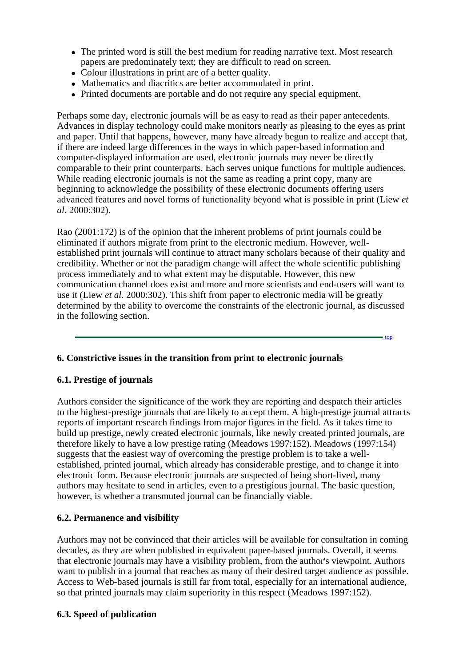- The printed word is still the best medium for reading narrative text. Most research papers are predominately text; they are difficult to read on screen.
- Colour illustrations in print are of a better quality.
- Mathematics and diacritics are better accommodated in print.
- Printed documents are portable and do not require any special equipment.

Perhaps some day, electronic journals will be as easy to read as their paper antecedents. Advances in display technology could make monitors nearly as pleasing to the eyes as print and paper. Until that happens, however, many have already begun to realize and accept that, if there are indeed large differences in the ways in which paper-based information and computer-displayed information are used, electronic journals may never be directly comparable to their print counterparts. Each serves unique functions for multiple audiences. While reading electronic journals is not the same as reading a print copy, many are beginning to acknowledge the possibility of these electronic documents offering users advanced features and novel forms of functionality beyond what is possible in print (Liew *et al*. 2000:302).

Rao (2001:172) is of the opinion that the inherent problems of print journals could be eliminated if authors migrate from print to the electronic medium. However, wellestablished print journals will continue to attract many scholars because of their quality and credibility. Whether or not the paradigm change will affect the whole scientific publishing process immediately and to what extent may be disputable. However, this new communication channel does exist and more and more scientists and end-users will want to use it (Liew *et al.* 2000:302). This shift from paper to electronic media will be greatly determined by the ability to overcome the constraints of the electronic journal, as discussed in the following section.

 $\overline{\phantom{a}}$  top

# **6. Constrictive issues in the transition from print to electronic journals**

# **6.1. Prestige of journals**

Authors consider the significance of the work they are reporting and despatch their articles to the highest-prestige journals that are likely to accept them. A high-prestige journal attracts reports of important research findings from major figures in the field. As it takes time to build up prestige, newly created electronic journals, like newly created printed journals, are therefore likely to have a low prestige rating (Meadows 1997:152). Meadows (1997:154) suggests that the easiest way of overcoming the prestige problem is to take a wellestablished, printed journal, which already has considerable prestige, and to change it into electronic form. Because electronic journals are suspected of being short-lived, many authors may hesitate to send in articles, even to a prestigious journal. The basic question, however, is whether a transmuted journal can be financially viable.

# **6.2. Permanence and visibility**

Authors may not be convinced that their articles will be available for consultation in coming decades, as they are when published in equivalent paper-based journals. Overall, it seems that electronic journals may have a visibility problem, from the author's viewpoint. Authors want to publish in a journal that reaches as many of their desired target audience as possible. Access to Web-based journals is still far from total, especially for an international audience, so that printed journals may claim superiority in this respect (Meadows 1997:152).

# **6.3. Speed of publication**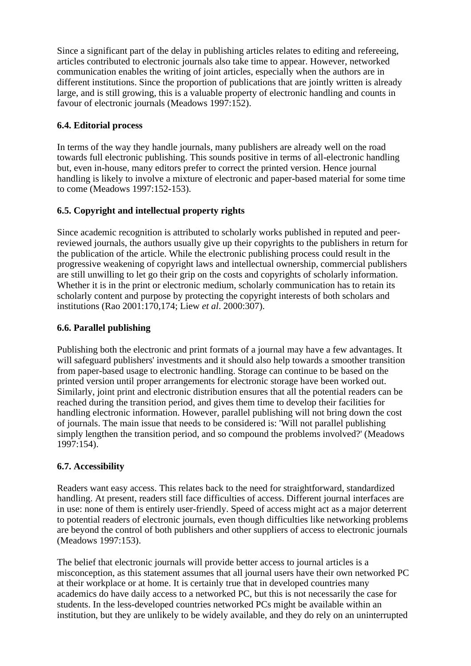Since a significant part of the delay in publishing articles relates to editing and refereeing, articles contributed to electronic journals also take time to appear. However, networked communication enables the writing of joint articles, especially when the authors are in different institutions. Since the proportion of publications that are jointly written is already large, and is still growing, this is a valuable property of electronic handling and counts in favour of electronic journals (Meadows 1997:152).

# **6.4. Editorial process**

In terms of the way they handle journals, many publishers are already well on the road towards full electronic publishing. This sounds positive in terms of all-electronic handling but, even in-house, many editors prefer to correct the printed version. Hence journal handling is likely to involve a mixture of electronic and paper-based material for some time to come (Meadows 1997:152-153).

# **6.5. Copyright and intellectual property rights**

Since academic recognition is attributed to scholarly works published in reputed and peerreviewed journals, the authors usually give up their copyrights to the publishers in return for the publication of the article. While the electronic publishing process could result in the progressive weakening of copyright laws and intellectual ownership, commercial publishers are still unwilling to let go their grip on the costs and copyrights of scholarly information. Whether it is in the print or electronic medium, scholarly communication has to retain its scholarly content and purpose by protecting the copyright interests of both scholars and institutions (Rao 2001:170,174; Liew *et al*. 2000:307).

# **6.6. Parallel publishing**

Publishing both the electronic and print formats of a journal may have a few advantages. It will safeguard publishers' investments and it should also help towards a smoother transition from paper-based usage to electronic handling. Storage can continue to be based on the printed version until proper arrangements for electronic storage have been worked out. Similarly, joint print and electronic distribution ensures that all the potential readers can be reached during the transition period, and gives them time to develop their facilities for handling electronic information. However, parallel publishing will not bring down the cost of journals. The main issue that needs to be considered is: 'Will not parallel publishing simply lengthen the transition period, and so compound the problems involved?' (Meadows 1997:154).

# **6.7. Accessibility**

Readers want easy access. This relates back to the need for straightforward, standardized handling. At present, readers still face difficulties of access. Different journal interfaces are in use: none of them is entirely user-friendly. Speed of access might act as a major deterrent to potential readers of electronic journals, even though difficulties like networking problems are beyond the control of both publishers and other suppliers of access to electronic journals (Meadows 1997:153).

The belief that electronic journals will provide better access to journal articles is a misconception, as this statement assumes that all journal users have their own networked PC at their workplace or at home. It is certainly true that in developed countries many academics do have daily access to a networked PC, but this is not necessarily the case for students. In the less-developed countries networked PCs might be available within an institution, but they are unlikely to be widely available, and they do rely on an uninterrupted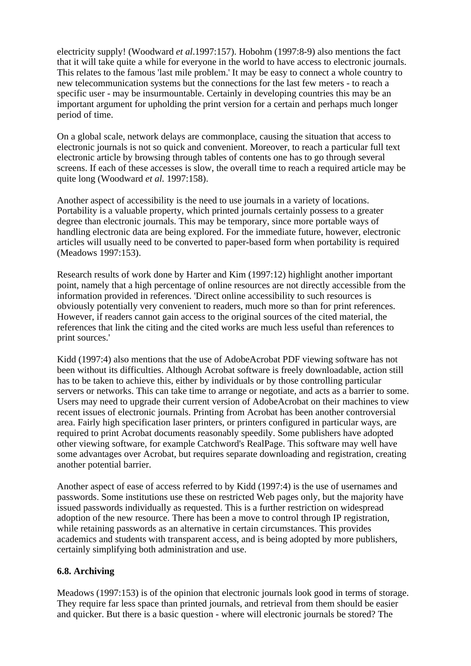electricity supply! (Woodward *et al*.1997:157). Hobohm (1997:8-9) also mentions the fact that it will take quite a while for everyone in the world to have access to electronic journals. This relates to the famous 'last mile problem.' It may be easy to connect a whole country to new telecommunication systems but the connections for the last few meters - to reach a specific user - may be insurmountable. Certainly in developing countries this may be an important argument for upholding the print version for a certain and perhaps much longer period of time.

On a global scale, network delays are commonplace, causing the situation that access to electronic journals is not so quick and convenient. Moreover, to reach a particular full text electronic article by browsing through tables of contents one has to go through several screens. If each of these accesses is slow, the overall time to reach a required article may be quite long (Woodward *et al.* 1997:158).

Another aspect of accessibility is the need to use journals in a variety of locations. Portability is a valuable property, which printed journals certainly possess to a greater degree than electronic journals. This may be temporary, since more portable ways of handling electronic data are being explored. For the immediate future, however, electronic articles will usually need to be converted to paper-based form when portability is required (Meadows 1997:153).

Research results of work done by Harter and Kim (1997:12) highlight another important point, namely that a high percentage of online resources are not directly accessible from the information provided in references. 'Direct online accessibility to such resources is obviously potentially very convenient to readers, much more so than for print references. However, if readers cannot gain access to the original sources of the cited material, the references that link the citing and the cited works are much less useful than references to print sources.'

Kidd (1997:4) also mentions that the use of AdobeAcrobat PDF viewing software has not been without its difficulties. Although Acrobat software is freely downloadable, action still has to be taken to achieve this, either by individuals or by those controlling particular servers or networks. This can take time to arrange or negotiate, and acts as a barrier to some. Users may need to upgrade their current version of AdobeAcrobat on their machines to view recent issues of electronic journals. Printing from Acrobat has been another controversial area. Fairly high specification laser printers, or printers configured in particular ways, are required to print Acrobat documents reasonably speedily. Some publishers have adopted other viewing software, for example Catchword's RealPage. This software may well have some advantages over Acrobat, but requires separate downloading and registration, creating another potential barrier.

Another aspect of ease of access referred to by Kidd (1997:4) is the use of usernames and passwords. Some institutions use these on restricted Web pages only, but the majority have issued passwords individually as requested. This is a further restriction on widespread adoption of the new resource. There has been a move to control through IP registration, while retaining passwords as an alternative in certain circumstances. This provides academics and students with transparent access, and is being adopted by more publishers, certainly simplifying both administration and use.

# **6.8. Archiving**

Meadows (1997:153) is of the opinion that electronic journals look good in terms of storage. They require far less space than printed journals, and retrieval from them should be easier and quicker. But there is a basic question - where will electronic journals be stored? The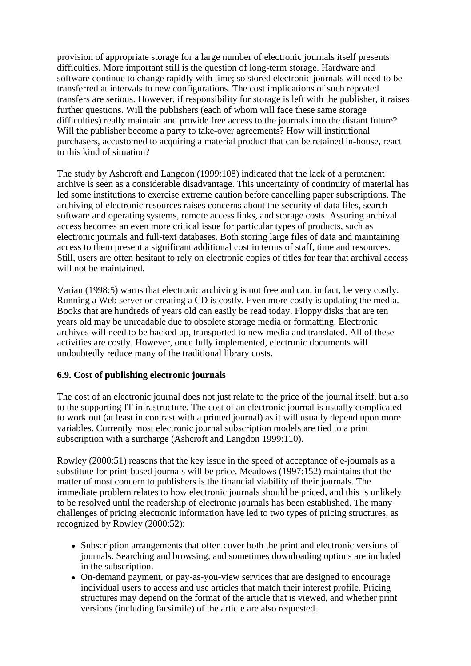provision of appropriate storage for a large number of electronic journals itself presents difficulties. More important still is the question of long-term storage. Hardware and software continue to change rapidly with time; so stored electronic journals will need to be transferred at intervals to new configurations. The cost implications of such repeated transfers are serious. However, if responsibility for storage is left with the publisher, it raises further questions. Will the publishers (each of whom will face these same storage difficulties) really maintain and provide free access to the journals into the distant future? Will the publisher become a party to take-over agreements? How will institutional purchasers, accustomed to acquiring a material product that can be retained in-house, react to this kind of situation?

The study by Ashcroft and Langdon (1999:108) indicated that the lack of a permanent archive is seen as a considerable disadvantage. This uncertainty of continuity of material has led some institutions to exercise extreme caution before cancelling paper subscriptions. The archiving of electronic resources raises concerns about the security of data files, search software and operating systems, remote access links, and storage costs. Assuring archival access becomes an even more critical issue for particular types of products, such as electronic journals and full-text databases. Both storing large files of data and maintaining access to them present a significant additional cost in terms of staff, time and resources. Still, users are often hesitant to rely on electronic copies of titles for fear that archival access will not be maintained.

Varian (1998:5) warns that electronic archiving is not free and can, in fact, be very costly. Running a Web server or creating a CD is costly. Even more costly is updating the media. Books that are hundreds of years old can easily be read today. Floppy disks that are ten years old may be unreadable due to obsolete storage media or formatting. Electronic archives will need to be backed up, transported to new media and translated. All of these activities are costly. However, once fully implemented, electronic documents will undoubtedly reduce many of the traditional library costs.

# **6.9. Cost of publishing electronic journals**

The cost of an electronic journal does not just relate to the price of the journal itself, but also to the supporting IT infrastructure. The cost of an electronic journal is usually complicated to work out (at least in contrast with a printed journal) as it will usually depend upon more variables. Currently most electronic journal subscription models are tied to a print subscription with a surcharge (Ashcroft and Langdon 1999:110).

Rowley (2000:51) reasons that the key issue in the speed of acceptance of e-journals as a substitute for print-based journals will be price. Meadows (1997:152) maintains that the matter of most concern to publishers is the financial viability of their journals. The immediate problem relates to how electronic journals should be priced, and this is unlikely to be resolved until the readership of electronic journals has been established. The many challenges of pricing electronic information have led to two types of pricing structures, as recognized by Rowley (2000:52):

- Subscription arrangements that often cover both the print and electronic versions of journals. Searching and browsing, and sometimes downloading options are included in the subscription.
- On-demand payment, or pay-as-you-view services that are designed to encourage individual users to access and use articles that match their interest profile. Pricing structures may depend on the format of the article that is viewed, and whether print versions (including facsimile) of the article are also requested.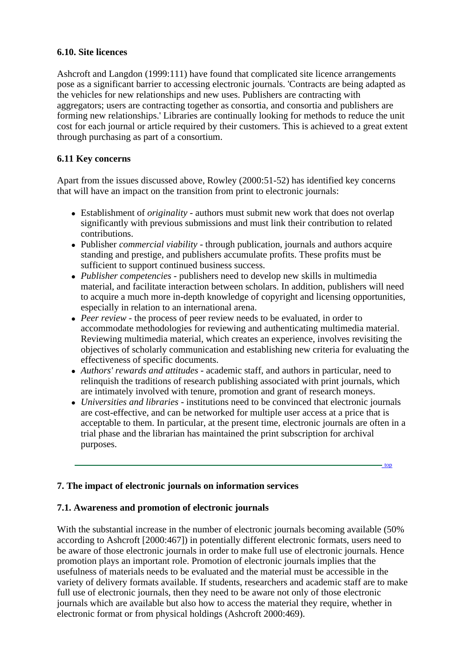## **6.10. Site licences**

Ashcroft and Langdon (1999:111) have found that complicated site licence arrangements pose as a significant barrier to accessing electronic journals. 'Contracts are being adapted as the vehicles for new relationships and new uses. Publishers are contracting with aggregators; users are contracting together as consortia, and consortia and publishers are forming new relationships.' Libraries are continually looking for methods to reduce the unit cost for each journal or article required by their customers. This is achieved to a great extent through purchasing as part of a consortium.

#### **6.11 Key concerns**

Apart from the issues discussed above, Rowley (2000:51-52) has identified key concerns that will have an impact on the transition from print to electronic journals:

- Establishment of *originality* authors must submit new work that does not overlap significantly with previous submissions and must link their contribution to related contributions.
- Publisher *commercial viability* through publication, journals and authors acquire standing and prestige, and publishers accumulate profits. These profits must be sufficient to support continued business success.
- *Publisher competencies* publishers need to develop new skills in multimedia material, and facilitate interaction between scholars. In addition, publishers will need to acquire a much more in-depth knowledge of copyright and licensing opportunities, especially in relation to an international arena.
- *Peer review* the process of peer review needs to be evaluated, in order to accommodate methodologies for reviewing and authenticating multimedia material. Reviewing multimedia material, which creates an experience, involves revisiting the objectives of scholarly communication and establishing new criteria for evaluating the effectiveness of specific documents.
- Authors' rewards and attitudes academic staff, and authors in particular, need to relinquish the traditions of research publishing associated with print journals, which are intimately involved with tenure, promotion and grant of research moneys.
- *Universities and libraries* institutions need to be convinced that electronic journals are cost-effective, and can be networked for multiple user access at a price that is acceptable to them. In particular, at the present time, electronic journals are often in a trial phase and the librarian has maintained the print subscription for archival purposes.

 $\overline{\phantom{a}}$  top

#### **7. The impact of electronic journals on information services**

# **7.1. Awareness and promotion of electronic journals**

With the substantial increase in the number of electronic journals becoming available (50%) according to Ashcroft [2000:467]) in potentially different electronic formats, users need to be aware of those electronic journals in order to make full use of electronic journals. Hence promotion plays an important role. Promotion of electronic journals implies that the usefulness of materials needs to be evaluated and the material must be accessible in the variety of delivery formats available. If students, researchers and academic staff are to make full use of electronic journals, then they need to be aware not only of those electronic journals which are available but also how to access the material they require, whether in electronic format or from physical holdings (Ashcroft 2000:469).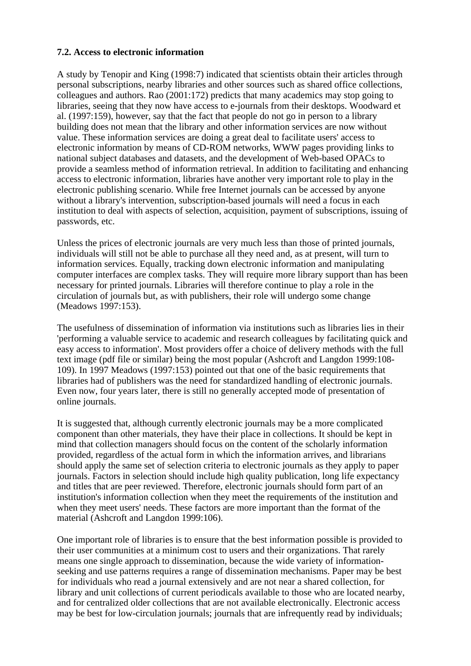#### **7.2. Access to electronic information**

A study by Tenopir and King (1998:7) indicated that scientists obtain their articles through personal subscriptions, nearby libraries and other sources such as shared office collections, colleagues and authors. Rao  $(2001:172)$  predicts that many academics may stop going to libraries, seeing that they now have access to e-journals from their desktops. Woodward et al. (1997:159), however, say that the fact that people do not go in person to a library building does not mean that the library and other information services are now without value. These information services are doing a great deal to facilitate users' access to electronic information by means of CD-ROM networks, WWW pages providing links to national subject databases and datasets, and the development of Web-based OPACs to provide a seamless method of information retrieval. In addition to facilitating and enhancing access to electronic information, libraries have another very important role to play in the electronic publishing scenario. While free Internet journals can be accessed by anyone without a library's intervention, subscription-based journals will need a focus in each institution to deal with aspects of selection, acquisition, payment of subscriptions, issuing of passwords, etc.

Unless the prices of electronic journals are very much less than those of printed journals, individuals will still not be able to purchase all they need and, as at present, will turn to information services. Equally, tracking down electronic information and manipulating computer interfaces are complex tasks. They will require more library support than has been necessary for printed journals. Libraries will therefore continue to play a role in the circulation of journals but, as with publishers, their role will undergo some change (Meadows 1997:153).

The usefulness of dissemination of information via institutions such as libraries lies in their 'performing a valuable service to academic and research colleagues by facilitating quick and easy access to information'. Most providers offer a choice of delivery methods with the full text image (pdf file or similar) being the most popular (Ashcroft and Langdon 1999:108- 109). In 1997 Meadows (1997:153) pointed out that one of the basic requirements that libraries had of publishers was the need for standardized handling of electronic journals. Even now, four years later, there is still no generally accepted mode of presentation of online journals.

It is suggested that, although currently electronic journals may be a more complicated component than other materials, they have their place in collections. It should be kept in mind that collection managers should focus on the content of the scholarly information provided, regardless of the actual form in which the information arrives, and librarians should apply the same set of selection criteria to electronic journals as they apply to paper journals. Factors in selection should include high quality publication, long life expectancy and titles that are peer reviewed. Therefore, electronic journals should form part of an institution's information collection when they meet the requirements of the institution and when they meet users' needs. These factors are more important than the format of the material (Ashcroft and Langdon 1999:106).

One important role of libraries is to ensure that the best information possible is provided to their user communities at a minimum cost to users and their organizations. That rarely means one single approach to dissemination, because the wide variety of informationseeking and use patterns requires a range of dissemination mechanisms. Paper may be best for individuals who read a journal extensively and are not near a shared collection, for library and unit collections of current periodicals available to those who are located nearby, and for centralized older collections that are not available electronically. Electronic access may be best for low-circulation journals; journals that are infrequently read by individuals;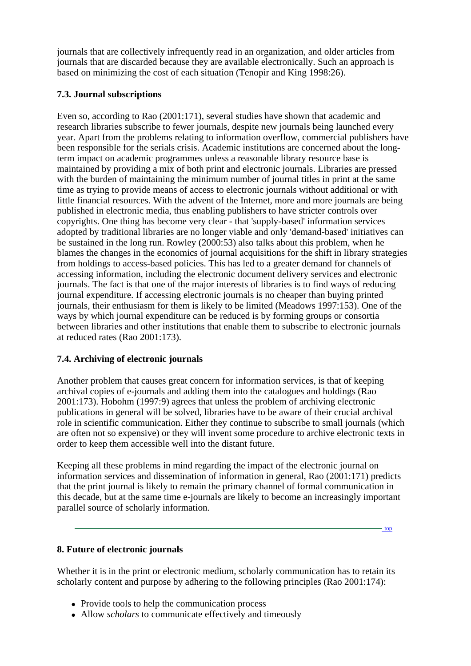journals that are collectively infrequently read in an organization, and older articles from journals that are discarded because they are available electronically. Such an approach is based on minimizing the cost of each situation (Tenopir and King 1998:26).

# **7.3. Journal subscriptions**

Even so, according to Rao (2001:171), several studies have shown that academic and research libraries subscribe to fewer journals, despite new journals being launched every year. Apart from the problems relating to information overflow, commercial publishers have been responsible for the serials crisis. Academic institutions are concerned about the longterm impact on academic programmes unless a reasonable library resource base is maintained by providing a mix of both print and electronic journals. Libraries are pressed with the burden of maintaining the minimum number of journal titles in print at the same time as trying to provide means of access to electronic journals without additional or with little financial resources. With the advent of the Internet, more and more journals are being published in electronic media, thus enabling publishers to have stricter controls over copyrights. One thing has become very clear - that 'supply-based' information services adopted by traditional libraries are no longer viable and only 'demand-based' initiatives can be sustained in the long run. Rowley (2000:53) also talks about this problem, when he blames the changes in the economics of journal acquisitions for the shift in library strategies from holdings to access-based policies. This has led to a greater demand for channels of accessing information, including the electronic document delivery services and electronic journals. The fact is that one of the major interests of libraries is to find ways of reducing journal expenditure. If accessing electronic journals is no cheaper than buying printed journals, their enthusiasm for them is likely to be limited (Meadows 1997:153). One of the ways by which journal expenditure can be reduced is by forming groups or consortia between libraries and other institutions that enable them to subscribe to electronic journals at reduced rates (Rao 2001:173).

# **7.4. Archiving of electronic journals**

Another problem that causes great concern for information services, is that of keeping archival copies of e-journals and adding them into the catalogues and holdings (Rao 2001:173). Hobohm (1997:9) agrees that unless the problem of archiving electronic publications in general will be solved, libraries have to be aware of their crucial archival role in scientific communication. Either they continue to subscribe to small journals (which are often not so expensive) or they will invent some procedure to archive electronic texts in order to keep them accessible well into the distant future.

Keeping all these problems in mind regarding the impact of the electronic journal on information services and dissemination of information in general, Rao (2001:171) predicts that the print journal is likely to remain the primary channel of formal communication in this decade, but at the same time e-journals are likely to become an increasingly important parallel source of scholarly information.

 $=$  top

# **8. Future of electronic journals**

Whether it is in the print or electronic medium, scholarly communication has to retain its scholarly content and purpose by adhering to the following principles (Rao 2001:174):

- $\bullet$  Provide tools to help the communication process
- Allow *scholars* to communicate effectively and timeously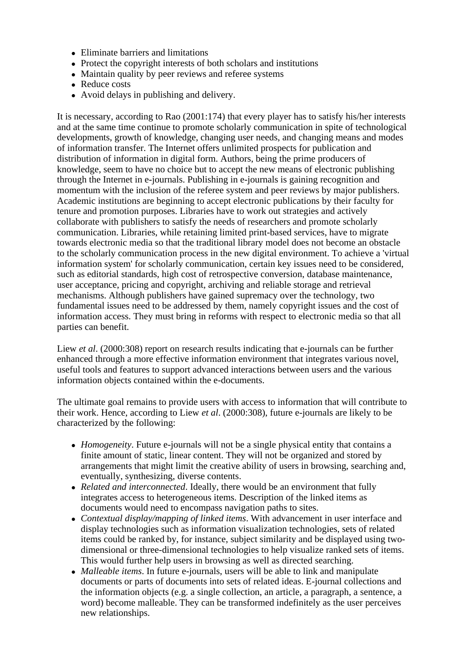- Eliminate barriers and limitations
- $\bullet$  Protect the copyright interests of both scholars and institutions
- Maintain quality by peer reviews and referee systems
- $\bullet$  Reduce costs
- Avoid delays in publishing and delivery.

It is necessary, according to Rao (2001:174) that every player has to satisfy his/her interests and at the same time continue to promote scholarly communication in spite of technological developments, growth of knowledge, changing user needs, and changing means and modes of information transfer. The Internet offers unlimited prospects for publication and distribution of information in digital form. Authors, being the prime producers of knowledge, seem to have no choice but to accept the new means of electronic publishing through the Internet in e-journals. Publishing in e-journals is gaining recognition and momentum with the inclusion of the referee system and peer reviews by major publishers. Academic institutions are beginning to accept electronic publications by their faculty for tenure and promotion purposes. Libraries have to work out strategies and actively collaborate with publishers to satisfy the needs of researchers and promote scholarly communication. Libraries, while retaining limited print-based services, have to migrate towards electronic media so that the traditional library model does not become an obstacle to the scholarly communication process in the new digital environment. To achieve a 'virtual information system' for scholarly communication, certain key issues need to be considered, such as editorial standards, high cost of retrospective conversion, database maintenance, user acceptance, pricing and copyright, archiving and reliable storage and retrieval mechanisms. Although publishers have gained supremacy over the technology, two fundamental issues need to be addressed by them, namely copyright issues and the cost of information access. They must bring in reforms with respect to electronic media so that all parties can benefit.

Liew *et al.* (2000:308) report on research results indicating that e-journals can be further enhanced through a more effective information environment that integrates various novel, useful tools and features to support advanced interactions between users and the various information objects contained within the e-documents.

The ultimate goal remains to provide users with access to information that will contribute to their work. Hence, according to Liew *et al*. (2000:308), future e-journals are likely to be characterized by the following:

- *Homogeneity*. Future e-journals will not be a single physical entity that contains a finite amount of static, linear content. They will not be organized and stored by arrangements that might limit the creative ability of users in browsing, searching and, eventually, synthesizing, diverse contents.
- *Related and interconnected*. Ideally, there would be an environment that fully integrates access to heterogeneous items. Description of the linked items as documents would need to encompass navigation paths to sites.
- *Contextual display/mapping of linked items*. With advancement in user interface and display technologies such as information visualization technologies, sets of related items could be ranked by, for instance, subject similarity and be displayed using twodimensional or three-dimensional technologies to help visualize ranked sets of items. This would further help users in browsing as well as directed searching.
- *Malleable items*. In future e-journals, users will be able to link and manipulate documents or parts of documents into sets of related ideas. E-journal collections and the information objects (e.g. a single collection, an article, a paragraph, a sentence, a word) become malleable. They can be transformed indefinitely as the user perceives new relationships.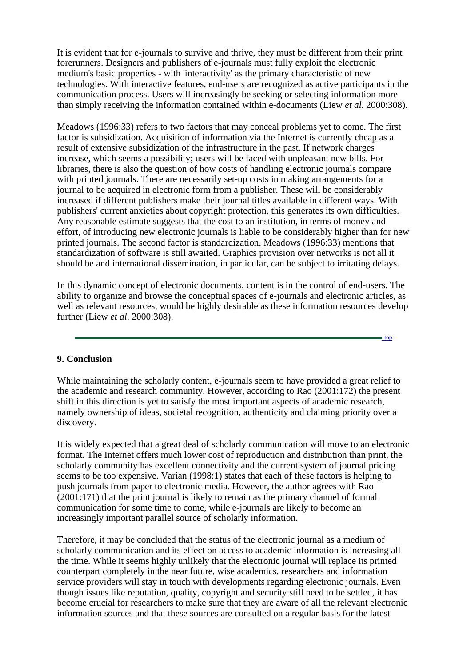It is evident that for e-journals to survive and thrive, they must be different from their print forerunners. Designers and publishers of e-journals must fully exploit the electronic medium's basic properties - with 'interactivity' as the primary characteristic of new technologies. With interactive features, end-users are recognized as active participants in the communication process. Users will increasingly be seeking or selecting information more than simply receiving the information contained within e-documents (Liew *et al*. 2000:308).

Meadows (1996:33) refers to two factors that may conceal problems yet to come. The first factor is subsidization. Acquisition of information via the Internet is currently cheap as a result of extensive subsidization of the infrastructure in the past. If network charges increase, which seems a possibility; users will be faced with unpleasant new bills. For libraries, there is also the question of how costs of handling electronic journals compare with printed journals. There are necessarily set-up costs in making arrangements for a journal to be acquired in electronic form from a publisher. These will be considerably increased if different publishers make their journal titles available in different ways. With publishers' current anxieties about copyright protection, this generates its own difficulties. Any reasonable estimate suggests that the cost to an institution, in terms of money and effort, of introducing new electronic journals is liable to be considerably higher than for new printed journals. The second factor is standardization. Meadows (1996:33) mentions that standardization of software is still awaited. Graphics provision over networks is not all it should be and international dissemination, in particular, can be subject to irritating delays.

In this dynamic concept of electronic documents, content is in the control of end-users. The ability to organize and browse the conceptual spaces of e-journals and electronic articles, as well as relevant resources, would be highly desirable as these information resources develop further (Liew *et al*. 2000:308).

top

#### **9. Conclusion**

While maintaining the scholarly content, e-journals seem to have provided a great relief to the academic and research community. However, according to Rao (2001:172) the present shift in this direction is yet to satisfy the most important aspects of academic research, namely ownership of ideas, societal recognition, authenticity and claiming priority over a discovery.

It is widely expected that a great deal of scholarly communication will move to an electronic format. The Internet offers much lower cost of reproduction and distribution than print, the scholarly community has excellent connectivity and the current system of journal pricing seems to be too expensive. Varian (1998:1) states that each of these factors is helping to push journals from paper to electronic media. However, the author agrees with Rao (2001:171) that the print journal is likely to remain as the primary channel of formal communication for some time to come, while e-journals are likely to become an increasingly important parallel source of scholarly information.

Therefore, it may be concluded that the status of the electronic journal as a medium of scholarly communication and its effect on access to academic information is increasing all the time. While it seems highly unlikely that the electronic journal will replace its printed counterpart completely in the near future, wise academics, researchers and information service providers will stay in touch with developments regarding electronic journals. Even though issues like reputation, quality, copyright and security still need to be settled, it has become crucial for researchers to make sure that they are aware of all the relevant electronic information sources and that these sources are consulted on a regular basis for the latest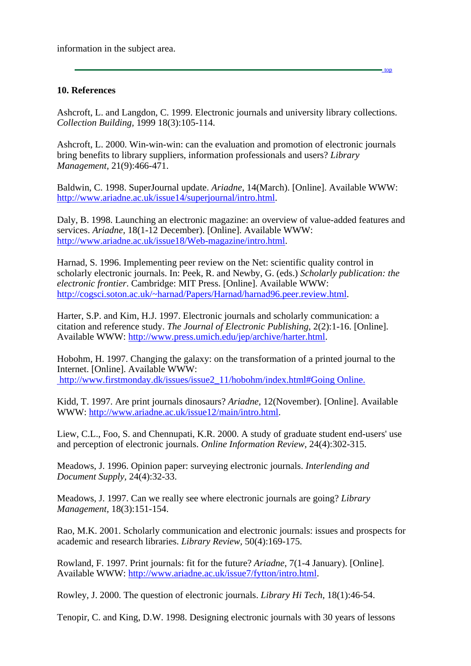information in the subject area.

# **10. References**

Ashcroft, L. and Langdon, C. 1999. Electronic journals and university library collections. *Collection Building,* 1999 18(3):105-114.

top

Ashcroft, L. 2000. Win-win-win: can the evaluation and promotion of electronic journals bring benefits to library suppliers, information professionals and users? *Library Management,* 21(9):466-471.

Baldwin, C. 1998. SuperJournal update. *Ariadne,* 14(March). [Online]. Available WWW: http://www.ariadne.ac.uk/issue14/superjournal/intro.html.

Daly, B. 1998. Launching an electronic magazine: an overview of value-added features and services. *Ariadne,* 18(1-12 December). [Online]. Available WWW: http://www.ariadne.ac.uk/issue18/Web-magazine/intro.html.

Harnad, S. 1996. Implementing peer review on the Net: scientific quality control in scholarly electronic journals. In: Peek, R. and Newby, G. (eds.) *Scholarly publication: the electronic frontier*. Cambridge: MIT Press. [Online]. Available WWW: http://cogsci.soton.ac.uk/~harnad/Papers/Harnad/harnad96.peer.review.html.

Harter, S.P. and Kim, H.J. 1997. Electronic journals and scholarly communication: a citation and reference study. *The Journal of Electronic Publishing*, 2(2):1-16. [Online]. Available WWW: http://www.press.umich.edu/jep/archive/harter.html.

Hobohm, H. 1997. Changing the galaxy: on the transformation of a printed journal to the Internet. [Online]. Available WWW: http://www.firstmonday.dk/issues/issue2\_11/hobohm/index.html#Going Online.

Kidd, T. 1997. Are print journals dinosaurs? *Ariadne,* 12(November). [Online]. Available WWW: http://www.ariadne.ac.uk/issue12/main/intro.html.

Liew, C.L., Foo, S. and Chennupati, K.R. 2000. A study of graduate student end-users' use and perception of electronic journals. *Online Information Review*, 24(4):302-315.

Meadows, J. 1996. Opinion paper: surveying electronic journals. *Interlending and Document Supply,* 24(4):32-33.

Meadows, J. 1997. Can we really see where electronic journals are going? *Library Management,* 18(3):151-154.

Rao, M.K. 2001. Scholarly communication and electronic journals: issues and prospects for academic and research libraries. *Library Review,* 50(4):169-175.

Rowland, F. 1997. Print journals: fit for the future? *Ariadne*, 7(1-4 January). [Online]. Available WWW: http://www.ariadne.ac.uk/issue7/fytton/intro.html.

Rowley, J. 2000. The question of electronic journals. *Library Hi Tech*, 18(1):46-54.

Tenopir, C. and King, D.W. 1998. Designing electronic journals with 30 years of lessons